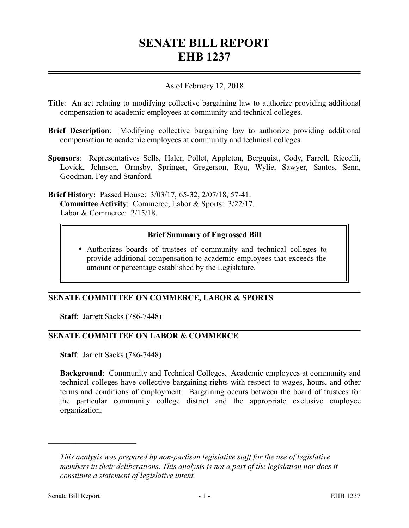# **SENATE BILL REPORT EHB 1237**

#### As of February 12, 2018

- **Title**: An act relating to modifying collective bargaining law to authorize providing additional compensation to academic employees at community and technical colleges.
- **Brief Description**: Modifying collective bargaining law to authorize providing additional compensation to academic employees at community and technical colleges.
- **Sponsors**: Representatives Sells, Haler, Pollet, Appleton, Bergquist, Cody, Farrell, Riccelli, Lovick, Johnson, Ormsby, Springer, Gregerson, Ryu, Wylie, Sawyer, Santos, Senn, Goodman, Fey and Stanford.

**Brief History:** Passed House: 3/03/17, 65-32; 2/07/18, 57-41. **Committee Activity**: Commerce, Labor & Sports: 3/22/17. Labor & Commerce: 2/15/18.

#### **Brief Summary of Engrossed Bill**

 Authorizes boards of trustees of community and technical colleges to provide additional compensation to academic employees that exceeds the amount or percentage established by the Legislature.

## **SENATE COMMITTEE ON COMMERCE, LABOR & SPORTS**

**Staff**: Jarrett Sacks (786-7448)

#### **SENATE COMMITTEE ON LABOR & COMMERCE**

**Staff**: Jarrett Sacks (786-7448)

**Background:** Community and Technical Colleges. Academic employees at community and technical colleges have collective bargaining rights with respect to wages, hours, and other terms and conditions of employment. Bargaining occurs between the board of trustees for the particular community college district and the appropriate exclusive employee organization.

––––––––––––––––––––––

*This analysis was prepared by non-partisan legislative staff for the use of legislative members in their deliberations. This analysis is not a part of the legislation nor does it constitute a statement of legislative intent.*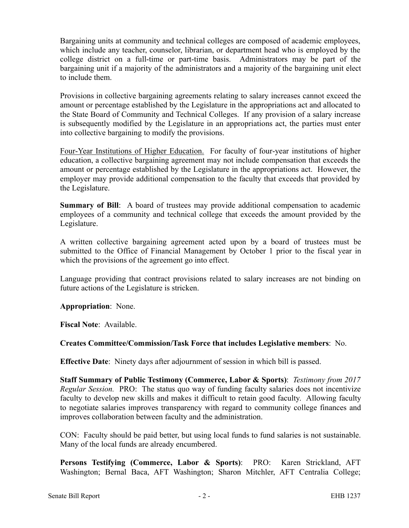Bargaining units at community and technical colleges are composed of academic employees, which include any teacher, counselor, librarian, or department head who is employed by the college district on a full-time or part-time basis. Administrators may be part of the bargaining unit if a majority of the administrators and a majority of the bargaining unit elect to include them.

Provisions in collective bargaining agreements relating to salary increases cannot exceed the amount or percentage established by the Legislature in the appropriations act and allocated to the State Board of Community and Technical Colleges. If any provision of a salary increase is subsequently modified by the Legislature in an appropriations act, the parties must enter into collective bargaining to modify the provisions.

Four-Year Institutions of Higher Education. For faculty of four-year institutions of higher education, a collective bargaining agreement may not include compensation that exceeds the amount or percentage established by the Legislature in the appropriations act. However, the employer may provide additional compensation to the faculty that exceeds that provided by the Legislature.

**Summary of Bill:** A board of trustees may provide additional compensation to academic employees of a community and technical college that exceeds the amount provided by the Legislature.

A written collective bargaining agreement acted upon by a board of trustees must be submitted to the Office of Financial Management by October 1 prior to the fiscal year in which the provisions of the agreement go into effect.

Language providing that contract provisions related to salary increases are not binding on future actions of the Legislature is stricken.

**Appropriation**: None.

**Fiscal Note**: Available.

## **Creates Committee/Commission/Task Force that includes Legislative members**: No.

**Effective Date**: Ninety days after adjournment of session in which bill is passed.

**Staff Summary of Public Testimony (Commerce, Labor & Sports)**: *Testimony from 2017 Regular Session.* PRO: The status quo way of funding faculty salaries does not incentivize faculty to develop new skills and makes it difficult to retain good faculty. Allowing faculty to negotiate salaries improves transparency with regard to community college finances and improves collaboration between faculty and the administration.

CON: Faculty should be paid better, but using local funds to fund salaries is not sustainable. Many of the local funds are already encumbered.

**Persons Testifying (Commerce, Labor & Sports)**: PRO: Karen Strickland, AFT Washington; Bernal Baca, AFT Washington; Sharon Mitchler, AFT Centralia College;